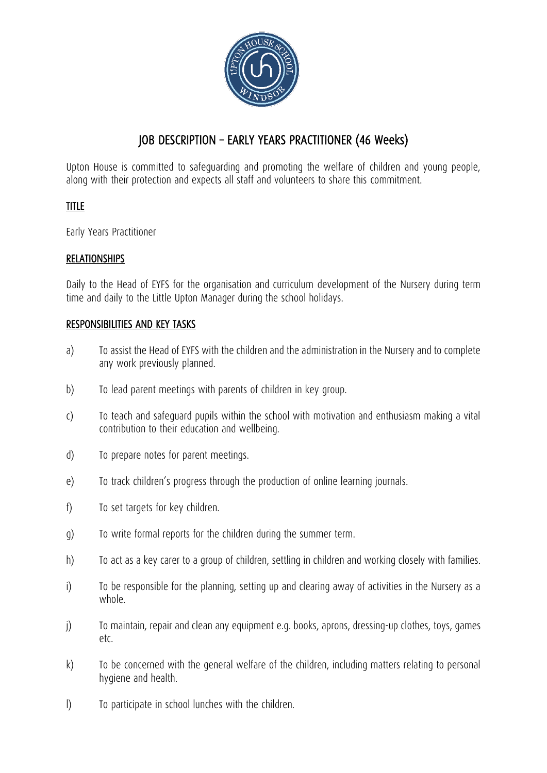

# JOB DESCRIPTION – EARLY YEARS PRACTITIONER (46 Weeks)

Upton House is committed to safeguarding and promoting the welfare of children and young people, along with their protection and expects all staff and volunteers to share this commitment.

## TITLE

Early Years Practitioner

### RELATIONSHIPS

Daily to the Head of EYFS for the organisation and curriculum development of the Nursery during term time and daily to the Little Upton Manager during the school holidays.

#### RESPONSIBILITIES AND KEY TASKS

- a) To assist the Head of EYFS with the children and the administration in the Nursery and to complete any work previously planned.
- b) To lead parent meetings with parents of children in key group.
- c) To teach and safeguard pupils within the school with motivation and enthusiasm making a vital contribution to their education and wellbeing.
- d) To prepare notes for parent meetings.
- e) To track children's progress through the production of online learning journals.
- f) To set targets for key children.
- g) To write formal reports for the children during the summer term.
- h) To act as a key carer to a group of children, settling in children and working closely with families.
- i) To be responsible for the planning, setting up and clearing away of activities in the Nursery as a whole.
- j) To maintain, repair and clean any equipment e.g. books, aprons, dressing-up clothes, toys, games etc.
- k) To be concerned with the general welfare of the children, including matters relating to personal hygiene and health.
- l) To participate in school lunches with the children.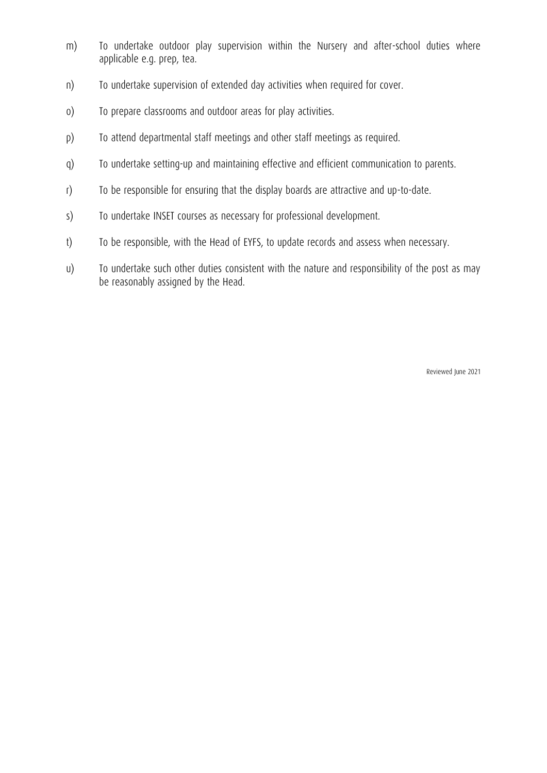- m) To undertake outdoor play supervision within the Nursery and after-school duties where applicable e.g. prep, tea.
- n) To undertake supervision of extended day activities when required for cover.
- o) To prepare classrooms and outdoor areas for play activities.
- p) To attend departmental staff meetings and other staff meetings as required.
- q) To undertake setting-up and maintaining effective and efficient communication to parents.
- r) To be responsible for ensuring that the display boards are attractive and up-to-date.
- s) To undertake INSET courses as necessary for professional development.
- t) To be responsible, with the Head of EYFS, to update records and assess when necessary.
- u) To undertake such other duties consistent with the nature and responsibility of the post as may be reasonably assigned by the Head.

Reviewed June 2021